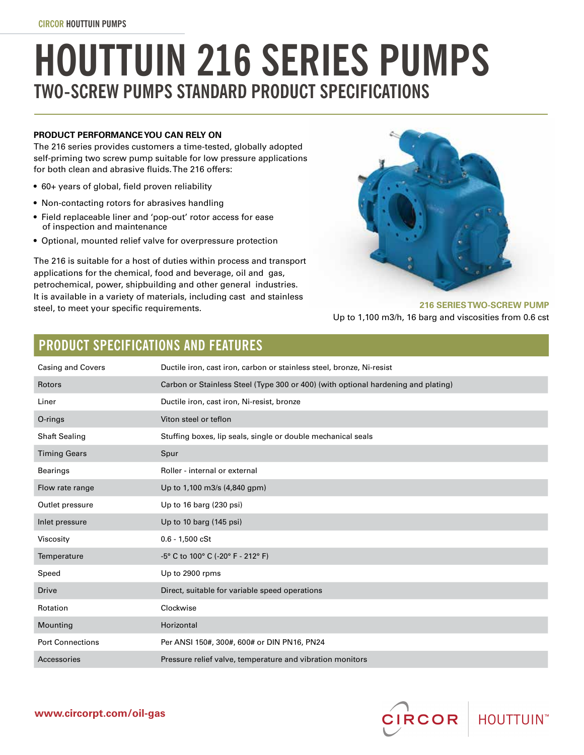# **HOUTTUIN 216 SERIES PUMPS TWO-SCREW PUMPS STANDARD PRODUCT SPECIFICATIONS**

### **PRODUCT PERFORMANCE YOU CAN RELY ON**

The 216 series provides customers a time-tested, globally adopted self-priming two screw pump suitable for low pressure applications for both clean and abrasive fluids. The 216 offers:

- 60+ years of global, field proven reliability
- Non-contacting rotors for abrasives handling
- Field replaceable liner and 'pop-out' rotor access for ease of inspection and maintenance
- Optional, mounted relief valve for overpressure protection

The 216 is suitable for a host of duties within process and transport applications for the chemical, food and beverage, oil and gas, petrochemical, power, shipbuilding and other general industries. It is available in a variety of materials, including cast and stainless steel, to meet your specific requirements.



### **216 SERIES TWO-SCREW PUMP**  Up to 1,100 m3/h, 16 barg and viscosities from 0.6 cst

# **PRODUCT SPECIFICATIONS AND FEATURES**

| Casing and Covers       | Ductile iron, cast iron, carbon or stainless steel, bronze, Ni-resist             |
|-------------------------|-----------------------------------------------------------------------------------|
| Rotors                  | Carbon or Stainless Steel (Type 300 or 400) (with optional hardening and plating) |
| Liner                   | Ductile iron, cast iron, Ni-resist, bronze                                        |
| O-rings                 | Viton steel or teflon                                                             |
| <b>Shaft Sealing</b>    | Stuffing boxes, lip seals, single or double mechanical seals                      |
| <b>Timing Gears</b>     | Spur                                                                              |
| <b>Bearings</b>         | Roller - internal or external                                                     |
| Flow rate range         | Up to 1,100 m3/s (4,840 gpm)                                                      |
| Outlet pressure         | Up to 16 barg (230 psi)                                                           |
| Inlet pressure          | Up to 10 barg (145 psi)                                                           |
| Viscosity               | $0.6 - 1,500 cSt$                                                                 |
| Temperature             | $-5^{\circ}$ C to 100 $^{\circ}$ C ( $-20^{\circ}$ F - 212 $^{\circ}$ F)          |
| Speed                   | Up to 2900 rpms                                                                   |
| <b>Drive</b>            | Direct, suitable for variable speed operations                                    |
| Rotation                | Clockwise                                                                         |
| Mounting                | Horizontal                                                                        |
| <b>Port Connections</b> | Per ANSI 150#, 300#, 600# or DIN PN16, PN24                                       |
| Accessories             | Pressure relief valve, temperature and vibration monitors                         |

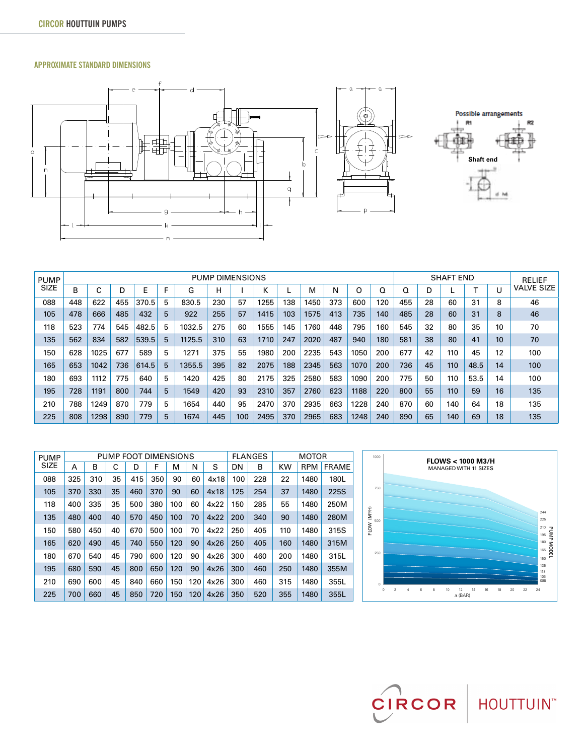### **APPROXIMATE STANDARD DIMENSIONS**



| <b>PUMP</b> |     | <b>PUMP DIMENSIONS</b> |     |       |    |        |     |     |      |     |      |     |      |     | <b>SHAFT END</b> |    |     |      |    | <b>RELIEF</b>     |
|-------------|-----|------------------------|-----|-------|----|--------|-----|-----|------|-----|------|-----|------|-----|------------------|----|-----|------|----|-------------------|
| <b>SIZE</b> | B   | ⌒                      | D   | F     | г  | G      | н   |     | ĸ.   |     | м    | N   | O    | Q   | O                | D  |     |      | U  | <b>VALVE SIZE</b> |
| 088         | 448 | 622                    | 455 | 370.5 | 5  | 830.5  | 230 | 57  | 1255 | 138 | 1450 | 373 | 600  | 120 | 455              | 28 | 60  | 31   | 8  | 46                |
| 105         | 478 | 666                    | 485 | 432   | 5  | 922    | 255 | 57  | 1415 | 103 | 1575 | 413 | 735  | 140 | 485              | 28 | 60  | 31   | 8  | 46                |
| 118         | 523 | 774                    | 545 | 482.5 | 5  | 1032.5 | 275 | 60  | 1555 | 145 | 1760 | 448 | 795  | 160 | 545              | 32 | 80  | 35   | 10 | 70                |
| 135         | 562 | 834                    | 582 | 539.5 | 5  | 1125.5 | 310 | 63  | 1710 | 247 | 2020 | 487 | 940  | 180 | 581              | 38 | 80  | 41   | 10 | 70                |
| 150         | 628 | 1025                   | 677 | 589   | 5  | 1271   | 375 | 55  | 1980 | 200 | 2235 | 543 | 1050 | 200 | 677              | 42 | 110 | 45   | 12 | 100               |
| 165         | 653 | 1042                   | 736 | 614.5 | 5  | 1355.5 | 395 | 82  | 2075 | 188 | 2345 | 563 | 1070 | 200 | 736              | 45 | 110 | 48.5 | 14 | 100               |
| 180         | 693 | 1112                   | 775 | 640   | 5. | 1420   | 425 | 80  | 2175 | 325 | 2580 | 583 | 1090 | 200 | 775              | 50 | 110 | 53.5 | 14 | 100               |
| 195         | 728 | 1191                   | 800 | 744   | 5  | 1549   | 420 | 93  | 2310 | 357 | 2760 | 623 | 1188 | 220 | 800              | 55 | 110 | 59   | 16 | 135               |
| 210         | 788 | 1249                   | 870 | 779   | 5  | 1654   | 440 | 95  | 2470 | 370 | 2935 | 663 | 1228 | 240 | 870              | 60 | 140 | 64   | 18 | 135               |
| 225         | 808 | 1298                   | 890 | 779   | 5  | 1674   | 445 | 100 | 2495 | 370 | 2965 | 683 | 1248 | 240 | 890              | 65 | 140 | 69   | 18 | 135               |

| <b>PUMP</b> |     |     |    | PUMP FOOT DIMENSIONS |     |     | <b>FLANGES</b> | <b>MOTOR</b> |     |     |           |            |              |
|-------------|-----|-----|----|----------------------|-----|-----|----------------|--------------|-----|-----|-----------|------------|--------------|
| <b>SIZE</b> | Α   | в   | C  | D                    | F   | м   | N              | S            | DN  | В   | <b>KW</b> | <b>RPM</b> | <b>FRAME</b> |
| 088         | 325 | 310 | 35 | 415                  | 350 | 90  | 60             | 4x18         | 100 | 228 | 22        | 1480       | 180L         |
| 105         | 370 | 330 | 35 | 460                  | 370 | 90  | 60             | 4x18         | 125 | 254 | 37        | 1480       | 225S         |
| 118         | 400 | 335 | 35 | 500                  | 380 | 100 | 60             | 4x22         | 150 | 285 | 55        | 1480       | 250M         |
| 135         | 480 | 400 | 40 | 570                  | 450 | 100 | 70             | 4x22         | 200 | 340 | 90        | 1480       | 280M         |
| 150         | 580 | 450 | 40 | 670                  | 500 | 100 | 70             | 4x22         | 250 | 405 | 110       | 1480       | 315S         |
| 165         | 620 | 490 | 45 | 740                  | 550 | 120 | 90             | 4x26         | 250 | 405 | 160       | 1480       | 315M         |
| 180         | 670 | 540 | 45 | 790                  | 600 | 120 | 90             | 4x26         | 300 | 460 | 200       | 1480       | 315L         |
| 195         | 680 | 590 | 45 | 800                  | 650 | 120 | 90             | 4x26         | 300 | 460 | 250       | 1480       | 355M         |
| 210         | 690 | 600 | 45 | 840                  | 660 | 150 | 120            | 4x26         | 300 | 460 | 315       | 1480       | 355L         |
| 225         | 700 | 660 | 45 | 850                  | 720 | 150 | 120            | 4x26         | 350 | 520 | 355       | 1480       | 355L         |